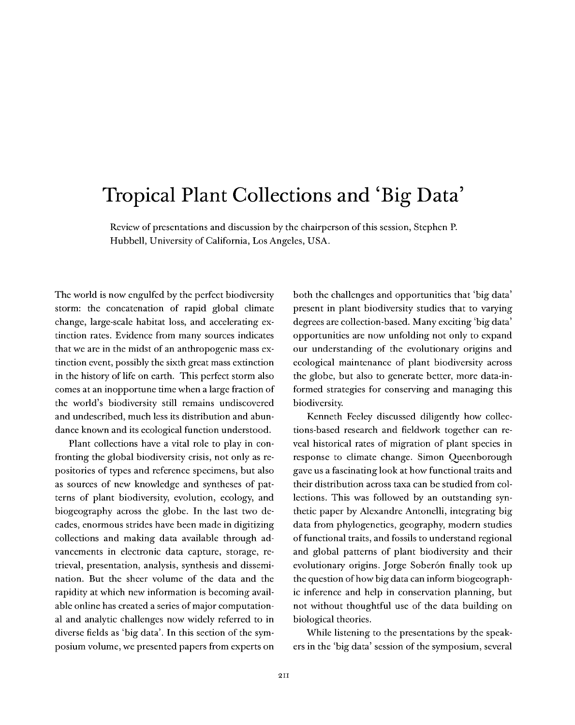## Tropical Plant Collections and 'Big Data'

Review of presentations and discussion by the chairperson ofthis session, Stephen P. Hubbell, University of California, Los Angeles, USA.

The world is now engulfed by the perfect biodiversity storm: the concatenation of rapid global climate change, large-scale habitat loss, and accelerating extinction rates. Evidence from many sources indicates that we are in the midst of an anthropogenic mass extinction event, possibly the sixth great mass extinction in the history of life on earth. This perfect storm also comes at an inopportune time when a large fraction of the world's biodiversity still remains undiscovered and undescribed, much less its distribution and abundance known and its ecological function understood.

Plant collections have a vital role to play in confronting the global biodiversity crisis, not only as repositories of types and reference specimens, but also as sources of new knowledge and syntheses of patterns of plant biodiversity, evolution, ecology, and biogeography across the globe. In the last two decades, enormous strides have been made in digitizing collections and making data available through advancements in electronic data capture, storage, retrieval, presentation, analysis, synthesis and dissemination. But the sheer volume of the data and the rapidity at which new information is becoming available online has created a series of major computational and analytic challenges now widely referred to in diverse fields as 'big data'. In this section of the symposium volume, we presented papers from experts on both the challenges and opportunities that 'big data' present in plant biodiversity studies that to varying degrees are collection-based. Many exciting 'big data' opportunities are now unfolding not only to expand our understanding of the evolutionary origins and ecological maintenance of plant biodiversity across the globe, but also to generate better, more data-informed strategies for conserving and managing this biodiversity.

Kenneth Feeley discussed diligently how collections-based research and fieldwork together can reveal historical rates of migration of plant species in response to climate change. Simon Queenborough gave us a fascinating look at how functional traits and their distribution across taxa can be studied from collections. This was followed by an outstanding synthetic paper by Alexandre Antonelli, integrating big data from phylogenetics, geography, modern studies of functional traits, and fossils to understand regional and global patterns of plant biodiversity and their evolutionary origins. Jorge Soberôn finally took up the question of how big data can inform biogeographic inference and help in conservation planning, but not without thoughtful use of the data building on biological theories.

While listening to the presentations by the speakers in the 'big data' session of the symposium, several